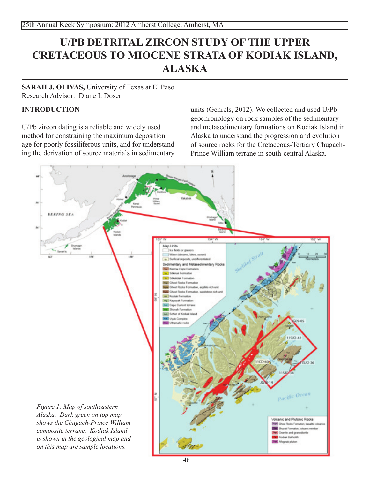# **U/PB DETRITAL ZIRCON STUDY OF THE UPPER CRETACEOUS TO MIOCENE STRATA OF KODIAK ISLAND, ALASKA**

## **sarah J. olivas,** University of Texas at El Paso Research Advisor: Diane I. Doser

## **Introduction**

U/Pb zircon dating is a reliable and widely used method for constraining the maximum deposition age for poorly fossiliferous units, and for understanding the derivation of source materials in sedimentary

units (Gehrels, 2012). We collected and used U/Pb geochronology on rock samples of the sedimentary and metasedimentary formations on Kodiak Island in Alaska to understand the progression and evolution of source rocks for the Cretaceous-Tertiary Chugach-Prince William terrane in south-central Alaska.

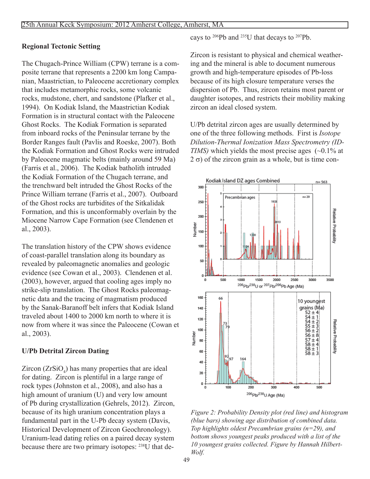### **Regional Tectonic Setting**

The Chugach-Prince William (CPW) terrane is a composite terrane that represents a 2200 km long Campanian, Maastrictian, to Paleocene accretionary complex that includes metamorphic rocks, some volcanic rocks, mudstone, chert, and sandstone (Plafker et al., 1994). On Kodiak Island, the Maastrictian Kodiak Formation is in structural contact with the Paleocene Ghost Rocks. The Kodiak Formation is separated from inboard rocks of the Peninsular terrane by the Border Ranges fault (Pavlis and Roeske, 2007). Both the Kodiak Formation and Ghost Rocks were intruded by Paleocene magmatic belts (mainly around 59 Ma) (Farris et al., 2006). The Kodiak batholith intruded the Kodiak Formation of the Chugach terrane, and the trenchward belt intruded the Ghost Rocks of the Prince William terrane (Farris et al., 2007). Outboard of the Ghost rocks are turbidites of the Sitkalidak Formation, and this is unconformably overlain by the Miocene Narrow Cape Formation (see Clendenen et al., 2003).

The translation history of the CPW shows evidence of coast-parallel translation along its boundary as revealed by paleomagnetic anomalies and geologic evidence (see Cowan et al., 2003). Clendenen et al. (2003), however, argued that cooling ages imply no strike-slip translation. The Ghost Rocks paleomagnetic data and the tracing of magmatism produced by the Sanak-Baranoff belt infers that Kodiak Island traveled about 1400 to 2000 km north to where it is now from where it was since the Paleocene (Cowan et al., 2003).

## **U/Pb Detrital Zircon Dating**

 $Zircon (ZrSiO<sub>4</sub>)$  has many properties that are ideal for dating. Zircon is plentiful in a large range of rock types (Johnston et al., 2008), and also has a high amount of uranium (U) and very low amount of Pb during crystallization (Gehrels, 2012). Zircon, because of its high uranium concentration plays a fundamental part in the U-Pb decay system (Davis, Historical Development of Zircon Geochronology). Uranium-lead dating relies on a paired decay system because there are two primary isotopes: 238U that decays to 206Pb and 235U that decays to 207Pb.

Zircon is resistant to physical and chemical weathering and the mineral is able to document numerous growth and high-temperature episodes of Pb-loss because of its high closure temperature verses the dispersion of Pb. Thus, zircon retains most parent or daughter isotopes, and restricts their mobility making zircon an ideal closed system.

U/Pb detrital zircon ages are usually determined by one of the three following methods. First is *Isotope Dilution-Thermal Ionization Mass Spectrometry (ID-TIMS*) which yields the most precise ages (~0.1% at  $2 \sigma$ ) of the zircon grain as a whole, but is time con-



*Figure 2: Probability Density plot (red line) and histogram (blue bars) showing age distribution of combined data. Top highlights oldest Precambrian grains (n=29), and bottom shows youngest peaks produced with a list of the 10 youngest grains collected. Figure by Hannah Hilbert-Wolf.*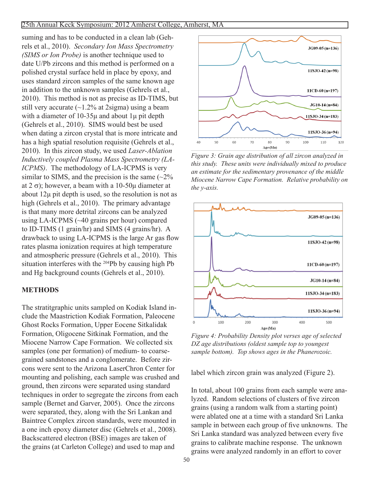#### 25th Annual Keck Symposium: 2012 Amherst College, Amherst, MA

suming and has to be conducted in a clean lab (Gehrels et al., 2010). *Secondary Ion Mass Spectrometry (SIMS or Ion Probe)* is another technique used to date U/Pb zircons and this method is performed on a polished crystal surface held in place by epoxy, and uses standard zircon samples of the same known age in addition to the unknown samples (Gehrels et al., 2010). This method is not as precise as ID-TIMS, but still very accurate (~1.2% at 2sigma) using a beam with a diameter of  $10-35\mu$  and about  $1\mu$  pit depth (Gehrels et al., 2010). SIMS would best be used when dating a zircon crystal that is more intricate and has a high spatial resolution requisite (Gehrels et al., 2010). In this zircon study, we used *Laser-Ablation Inductively coupled Plasma Mass Spectrometry (LA-ICPMS)*. The methodology of LA-ICPMS is very similar to SIMS, and the precision is the same  $\left(\sim 2\right)$ % at  $2 \sigma$ ; however, a beam with a 10-50 $\mu$  diameter at about 12μ pit depth is used, so the resolution is not as high (Gehrels et al., 2010). The primary advantage is that many more detrital zircons can be analyzed using LA-ICPMS (~40 grains per hour) compared to ID-TIMS (1 grain/hr) and SIMS (4 grains/hr). A drawback to using LA-ICPMS is the large Ar gas flow rates plasma ionization requires at high temperature and atmospheric pressure (Gehrels et al., 2010). This situation interferes with the 204Pb by causing high Pb and Hg background counts (Gehrels et al., 2010).

#### **Methods**

The stratitgraphic units sampled on Kodiak Island include the Maastriction Kodiak Formation, Paleocene Ghost Rocks Formation, Upper Eocene Sitkalidak Formation, Oligocene Sitkinak Formation, and the Miocene Narrow Cape Formation. We collected six samples (one per formation) of medium- to coarsegrained sandstones and a conglomerate. Before zircons were sent to the Arizona LaserChron Center for mounting and polishing, each sample was crushed and ground, then zircons were separated using standard techniques in order to segregate the zircons from each sample (Bernet and Garver, 2005). Once the zircons were separated, they, along with the Sri Lankan and Baintree Complex zircon standards, were mounted in a one inch epoxy diameter disc (Gehrels et al., 2008). Backscattered electron (BSE) images are taken of the grains (at Carleton College) and used to map and



*Figure 3: Grain age distribution of all zircon analyzed in this study. These units were individually mixed to produce an estimate for the sedimentary provenance of the middle Miocene Narrow Cape Formation. Relative probability on the y-axis.*



*Figure 4: Probability Density plot verses age of selected DZ age distributions (oldest sample top to youngest sample bottom). Top shows ages in the Phanerozoic.*

label which zircon grain was analyzed (Figure 2).

In total, about 100 grains from each sample were analyzed. Random selections of clusters of five zircon grains (using a random walk from a starting point) were ablated one at a time with a standard Sri Lanka sample in between each group of five unknowns. The Sri Lanka standard was analyzed between every five grains to calibrate machine response. The unknown grains were analyzed randomly in an effort to cover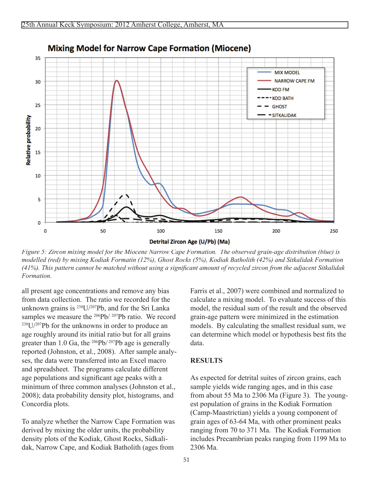

# **Mixing Model for Narrow Cape Formation (Miocene)**

*Figure 5: Zircon mixing model for the Miocene Narrow Cape Formation. The observed grain-age distribution (blue) is modelled (red) by mixing Kodiak Formatin (12%), Ghost Rocks (5%), Kodiak Batholith (42%) and Sitkalidak Formation (41%). This pattern cannot be matched without using a significant amount of recycled zircon from the adjacent Sitkalidak Formation.*

all present age concentrations and remove any bias from data collection. The ratio we recorded for the unknown grains is 238U/207Pb, and for the Sri Lanka samples we measure the <sup>206</sup>Pb/ <sup>207</sup>Pb ratio. We record 238U/207Pb for the unknowns in order to produce an age roughly around its initial ratio but for all grains greater than 1.0 Ga, the  $^{206}Pb/^{207}Pb$  age is generally reported (Johnston, et al., 2008). After sample analyses, the data were transferred into an Excel macro and spreadsheet. The programs calculate different age populations and significant age peaks with a minimum of three common analyses (Johnston et al., 2008); data probability density plot, histograms, and Concordia plots.

To analyze whether the Narrow Cape Formation was derived by mixing the older units, the probability density plots of the Kodiak, Ghost Rocks, Sidkalidak, Narrow Cape, and Kodiak Batholith (ages from

Farris et al., 2007) were combined and normalized to calculate a mixing model. To evaluate success of this model, the residual sum of the result and the observed grain-age pattern were minimized in the estimation models. By calculating the smallest residual sum, we can determine which model or hypothesis best fits the data.

## **Results**

As expected for detrital suites of zircon grains, each sample yields wide ranging ages, and in this case from about 55 Ma to 2306 Ma (Figure 3). The youngest population of grains in the Kodiak Formation (Camp-Maastrictian) yields a young component of grain ages of 63-64 Ma, with other prominent peaks ranging from 70 to 371 Ma. The Kodiak Formation includes Precambrian peaks ranging from 1199 Ma to 2306 Ma.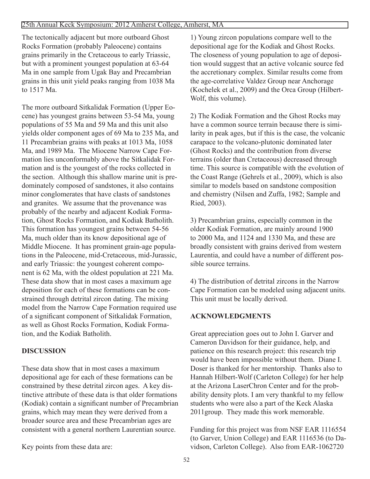The tectonically adjacent but more outboard Ghost Rocks Formation (probably Paleocene) contains grains primarily in the Cretaceous to early Triassic, but with a prominent youngest population at 63-64 Ma in one sample from Ugak Bay and Precambrian grains in this unit yield peaks ranging from 1038 Ma to 1517 Ma.

The more outboard Sitkalidak Formation (Upper Eocene) has youngest grains between 53-54 Ma, young populations of 55 Ma and 59 Ma and this unit also yields older component ages of 69 Ma to 235 Ma, and 11 Precambrian grains with peaks at 1013 Ma, 1058 Ma, and 1989 Ma. The Miocene Narrow Cape Formation lies unconformably above the Sitkalidak Formation and is the youngest of the rocks collected in the section. Although this shallow marine unit is predominately composed of sandstones, it also contains minor conglomerates that have clasts of sandstones and granites. We assume that the provenance was probably of the nearby and adjacent Kodiak Formation, Ghost Rocks Formation, and Kodiak Batholith. This formation has youngest grains between 54-56 Ma, much older than its know depositional age of Middle Miocene. It has prominent grain-age populations in the Paleocene, mid-Cretaceous, mid-Jurassic, and early Triassic: the youngest coherent component is 62 Ma, with the oldest population at 221 Ma. These data show that in most cases a maximum age deposition for each of these formations can be constrained through detrital zircon dating. The mixing model from the Narrow Cape Formation required use of a significant component of Sitkalidak Formation, as well as Ghost Rocks Formation, Kodiak Formation, and the Kodiak Batholith.

# **Discussion**

These data show that in most cases a maximum depositional age for each of these formations can be constrained by these detrital zircon ages. A key distinctive attribute of these data is that older formations (Kodiak) contain a significant number of Precambrian grains, which may mean they were derived from a broader source area and these Precambrian ages are consistent with a general northern Laurentian source.

1) Young zircon populations compare well to the depositional age for the Kodiak and Ghost Rocks. The closeness of young population to age of deposition would suggest that an active volcanic source fed the accretionary complex. Similar results come from the age-correlative Valdez Group near Anchorage (Kochelek et al., 2009) and the Orca Group (Hilbert-Wolf, this volume).

2) The Kodiak Formation and the Ghost Rocks may have a common source terrain because there is similarity in peak ages, but if this is the case, the volcanic carapace to the volcano-plutonic dominated later (Ghost Rocks) and the contribution from diverse terrains (older than Cretaceous) decreased through time. This source is compatible with the evolution of the Coast Range (Gehrels et al., 2009), which is also similar to models based on sandstone composition and chemistry (Nilsen and Zuffa, 1982; Sample and Ried, 2003).

3) Precambrian grains, especially common in the older Kodiak Formation, are mainly around 1900 to 2000 Ma, and 1124 and 1330 Ma, and these are broadly consistent with grains derived from western Laurentia, and could have a number of different possible source terrains.

4) The distribution of detrital zircons in the Narrow Cape Formation can be modeled using adjacent units. This unit must be locally derived.

# **Acknowledgments**

Great appreciation goes out to John I. Garver and Cameron Davidson for their guidance, help, and patience on this research project: this research trip would have been impossible without them. Diane I. Doser is thanked for her mentorship. Thanks also to Hannah Hilbert-Wolf (Carleton College) for her help at the Arizona LaserChron Center and for the probability density plots. I am very thankful to my fellow students who were also a part of the Keck Alaska 2011group. They made this work memorable.

Funding for this project was from NSF EAR 1116554 (to Garver, Union College) and EAR 1116536 (to Davidson, Carleton College). Also from EAR-1062720

Key points from these data are: